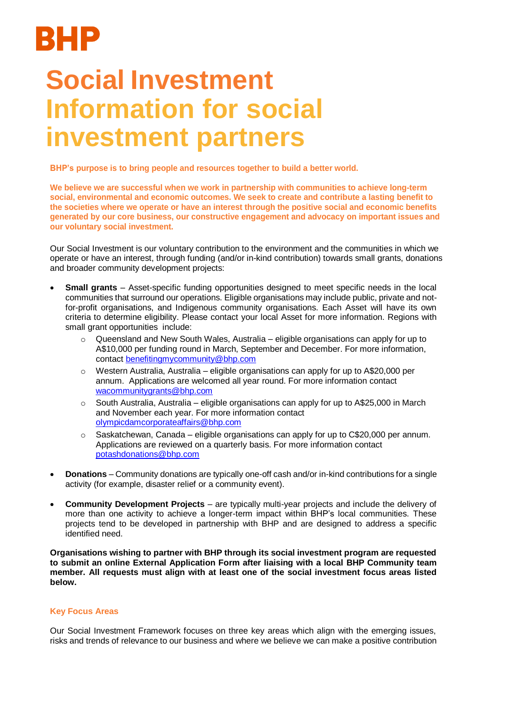## BHP

## **Social Investment Information for social investment partners**

**BHP's purpose is to bring people and resources together to build a better world.**

**We believe we are successful when we work in partnership with communities to achieve long-term social, environmental and economic outcomes. We seek to create and contribute a lasting benefit to the societies where we operate or have an interest through the positive social and economic benefits generated by our core business, our constructive engagement and advocacy on important issues and our voluntary social investment.**

Our Social Investment is our voluntary contribution to the environment and the communities in which we operate or have an interest, through funding (and/or in-kind contribution) towards small grants, donations and broader community development projects:

- **Small grants** Asset-specific funding opportunities designed to meet specific needs in the local communities that surround our operations. Eligible organisations may include public, private and notfor-profit organisations, and Indigenous community organisations. Each Asset will have its own criteria to determine eligibility. Please contact your local Asset for more information. Regions with small grant opportunities include:
	- $\circ$  Queensland and New South Wales, Australia eligible organisations can apply for up to A\$10,000 per funding round in March, September and December. For more information, contact [benefitingmycommunity@bhp.com](mailto:benefitingmycommunity@bhp.com)
	- $\circ$  Western Australia, Australia eligible organisations can apply for up to A\$20,000 per annum. Applications are welcomed all year round. For more information contact [wacommunitygrants@bhp.com](mailto:wacommunitygrants@bhp.com)
	- $\circ$  South Australia, Australia eligible organisations can apply for up to A\$25,000 in March and November each year. For more information contact [olympicdamcorporateaffairs@bhp.com](mailto:olympicdamcorporateaffairs@bhp.com)
	- $\circ$  Saskatchewan, Canada eligible organisations can apply for up to C\$20,000 per annum. Applications are reviewed on a quarterly basis. For more information contact potashdonations@bhp.com
- **Donations**  Community donations are typically one-off cash and/or in-kind contributions for a single activity (for example, disaster relief or a community event).
- **Community Development Projects**  are typically multi-year projects and include the delivery of more than one activity to achieve a longer-term impact within BHP's local communities. These projects tend to be developed in partnership with BHP and are designed to address a specific identified need.

**Organisations wishing to partner with BHP through its social investment program are requested to submit an online External Application Form after liaising with a local BHP Community team member. All requests must align with at least one of the social investment focus areas listed below.**

## **Key Focus Areas**

Our Social Investment Framework focuses on three key areas which align with the emerging issues, risks and trends of relevance to our business and where we believe we can make a positive contribution